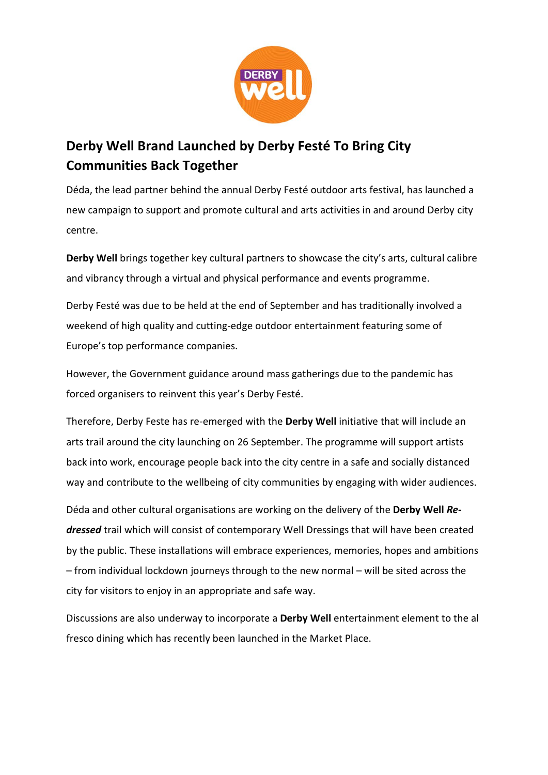

## **Communities Back Together Derby Well Brand Launched by Derby Festé To Bring City**

Déda, the lead partner behind the annual Derby Festé outdoor arts festival, has launched a centre. **Being** new campaign to support and promote cultural and arts activities in and around Derby city

**Derby Well** brings together key cultural partners to showcase the city's arts, cultural calibre and vibrancy through a virtual and physical performance and events programme.

Derby Festé was due to be held at the end of September and has traditionally involved a weekend of high quality and cutting-edge outdoor entertainment featuring some of Europe's top performance companies.

However, the Government guidance around mass gatherings due to the pandemic has forced organisers to reinvent this year's Derby Festé.

Therefore, Derby Feste has re-emerged with the **Derby Well** initiative that will include an arts trail around the city launching on 26 September. The programme will support artists back into work, encourage people back into the city centre in a safe and socially distanced way and contribute to the wellbeing of city communities by engaging with wider audiences.

Déda and other cultural organisations are working on the delivery of the **Derby Well** *Redressed* trail which will consist of contemporary Well Dressings that will have been created by the public. These installations will embrace experiences, memories, hopes and ambitions – from individual lockdown journeys through to the new normal – will be sited across the city for visitors to enjoy in an appropriate and safe way.

Discussions are also underway to incorporate a **Derby Well** entertainment element to the al fresco dining which has recently been launched in the Market Place.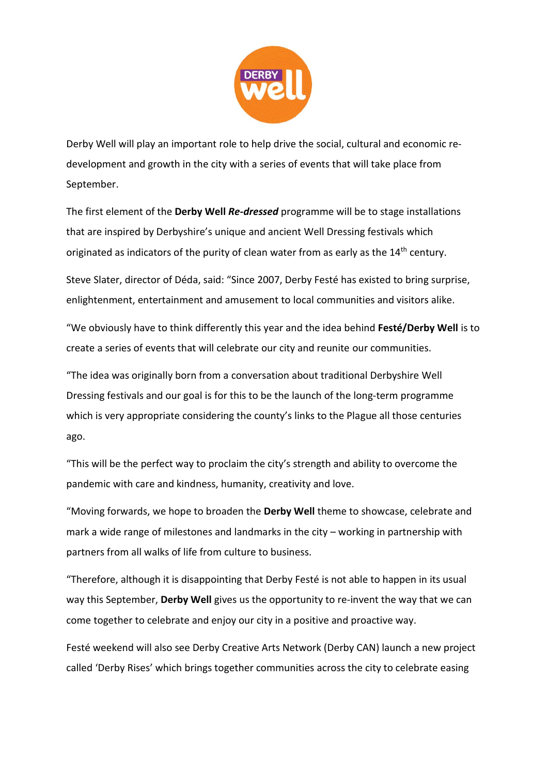

development and growth in the city with a series of events that will take place from Derby Well will play an important role to help drive the social, cultural and economic re-September.

that are inspired by Derbyshire's unique and ancient Well Dressing festivals which **Being** The first element of the **Derby Well** *Re-dressed* programme will be to stage installations originated as indicators of the purity of clean water from as early as the 14<sup>th</sup> century.

Steve Slater, director of Déda, said: "Since 2007, Derby Festé has existed to bring surprise, enlightenment, entertainment and amusement to local communities and visitors alike.

"We obviously have to think differently this year and the idea behind **Festé/Derby Well** is to create a series of events that will celebrate our city and reunite our communities.

"The idea was originally born from a conversation about traditional Derbyshire Well Dressing festivals and our goal is for this to be the launch of the long-term programme which is very appropriate considering the county's links to the Plague all those centuries ago.

"This will be the perfect way to proclaim the city's strength and ability to overcome the pandemic with care and kindness, humanity, creativity and love.

"Moving forwards, we hope to broaden the **Derby Well** theme to showcase, celebrate and mark a wide range of milestones and landmarks in the city – working in partnership with partners from all walks of life from culture to business.

"Therefore, although it is disappointing that Derby Festé is not able to happen in its usual way this September, **Derby Well** gives us the opportunity to re-invent the way that we can come together to celebrate and enjoy our city in a positive and proactive way.

Festé weekend will also see Derby Creative Arts Network (Derby CAN) launch a new project called 'Derby Rises' which brings together communities across the city to celebrate easing